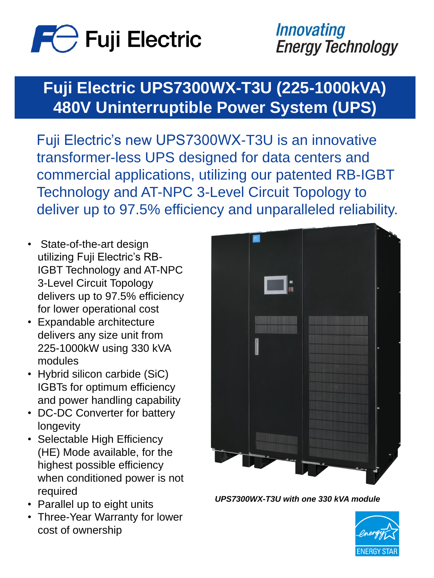

*Innovating* **Energy Technology** 

## **Fuji Electric UPS7300WX-T3U (225-1000kVA) 480V Uninterruptible Power System (UPS)**

#### *UPS7300WX-T3U with one 330 kVA module*



Fuji Electric's new UPS7300WX-T3U is an innovative transformer-less UPS designed for data centers and commercial applications, utilizing our patented RB-IGBT Technology and AT-NPC 3-Level Circuit Topology to deliver up to 97.5% efficiency and unparalleled reliability.

- State-of-the-art design utilizing Fuji Electric's RB-IGBT Technology and AT-NPC 3-Level Circuit Topology delivers up to 97.5% efficiency for lower operational cost
- Expandable architecture delivers any size unit from 225-1000kW using 330 kVA modules
- Hybrid silicon carbide (SiC) IGBTs for optimum efficiency and power handling capability DC-DC Converter for battery longevity • Selectable High Efficiency (HE) Mode available, for the highest possible efficiency when conditioned power is not required



- Parallel up to eight units
- Three-Year Warranty for lower cost of ownership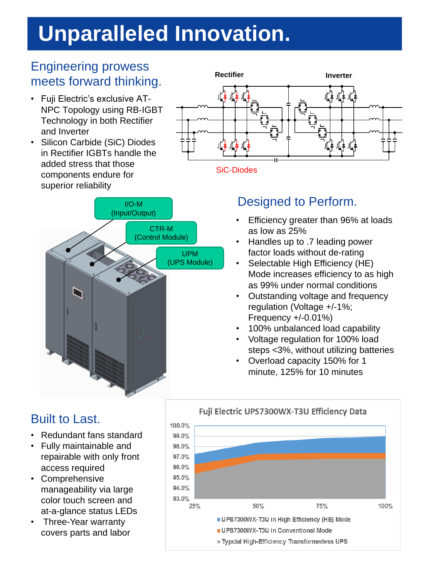### Designed to Perform.

# **Unparalleled Innovation.**





- Fuji Electric's exclusive AT-NPC Topology using RB-IGBT Technology in both Rectifier and Inverter
- Silicon Carbide (SiC) Diodes in Rectifier IGBTs handle the added stress that those components endure for superior reliability

- Efficiency greater than 96% at loads as low as 25%
- Handles up to .7 leading power factor loads without de-rating
- Selectable High Efficiency (HE) Mode increases efficiency to as high as 99% under normal conditions
- Outstanding voltage and frequency regulation (Voltage +/-1%; Frequency +/-0.01%)
- 100% unbalanced load capability
- Voltage regulation for 100% load steps <3%, without utilizing batteries
- Overload capacity 150% for 1 minute, 125% for 10 minutes

### Engineering prowess meets forward thinking.

### Built to Last.

- Redundant fans standard
- Fully maintainable and repairable with only front access required
- Comprehensive manageability via large color touch screen and at-a-glance status LEDs
- Three-Year warranty covers parts and labor

#### Fuji Electric UPS7300WX-T3U Efficiency Data

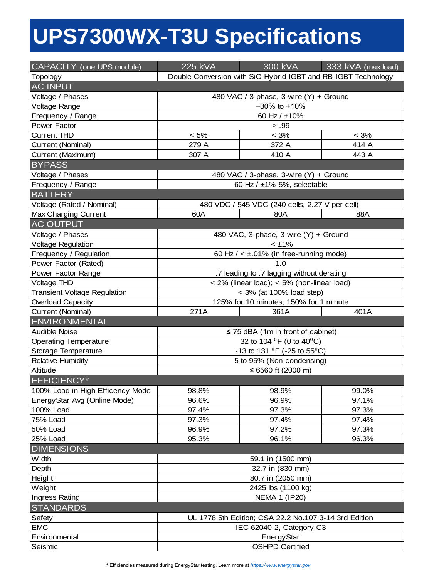# **UPS7300WX-T3U Specifications**

\* Efficiencies measured during EnergyStar testing. Learn more at *[https://www.energystar.gov](https://www.energystar.gov/)* 

| <b>CAPACITY</b> (one UPS module)    | <b>225 kVA</b>                                                | 300 kVA                                                | 333 kVA (max load) |
|-------------------------------------|---------------------------------------------------------------|--------------------------------------------------------|--------------------|
| <b>Topology</b>                     | Double Conversion with SiC-Hybrid IGBT and RB-IGBT Technology |                                                        |                    |
| <b>AC INPUT</b>                     |                                                               |                                                        |                    |
| Voltage / Phases                    | 480 VAC / 3-phase, 3-wire (Y) + Ground                        |                                                        |                    |
| <b>Voltage Range</b>                | $-30\%$ to $+10\%$                                            |                                                        |                    |
| Frequency / Range                   | 60 Hz / $±10\%$                                               |                                                        |                    |
| <b>Power Factor</b>                 |                                                               | > .99                                                  |                    |
| <b>Current THD</b>                  | $< 5\%$                                                       | $< 3\%$                                                | $< 3\%$            |
| <b>Current (Nominal)</b>            | 279 A                                                         | 372 A                                                  | 414 A              |
| <b>Current (Maximum)</b>            | 307 A                                                         | 410 A                                                  | 443 A              |
| <b>BYPASS</b>                       |                                                               |                                                        |                    |
| Voltage / Phases                    | 480 VAC / 3-phase, 3-wire (Y) + Ground                        |                                                        |                    |
| Frequency / Range                   | 60 Hz $/$ ±1%-5%, selectable                                  |                                                        |                    |
| <b>BATTERY</b>                      |                                                               |                                                        |                    |
| Voltage (Rated / Nominal)           |                                                               | 480 VDC / 545 VDC (240 cells, 2.27 V per cell)         |                    |
| <b>Max Charging Current</b>         | 60A                                                           | 80A                                                    | 88A                |
| <b>AC OUTPUT</b>                    |                                                               |                                                        |                    |
| Voltage / Phases                    | 480 VAC, 3-phase, 3-wire (Y) + Ground                         |                                                        |                    |
| <b>Voltage Regulation</b>           | $< \pm 1\%$                                                   |                                                        |                    |
| Frequency / Regulation              | 60 Hz $/ < \pm .01\%$ (in free-running mode)                  |                                                        |                    |
| Power Factor (Rated)                | 1.0                                                           |                                                        |                    |
| <b>Power Factor Range</b>           | .7 leading to .7 lagging without derating                     |                                                        |                    |
| <b>Voltage THD</b>                  | $<$ 2% (linear load); $<$ 5% (non-linear load)                |                                                        |                    |
| <b>Transient Voltage Regulation</b> | $<$ 3% (at 100% load step)                                    |                                                        |                    |
| <b>Overload Capacity</b>            | 125% for 10 minutes; 150% for 1 minute                        |                                                        |                    |
| <b>Current (Nominal)</b>            | 271A                                                          | 361A                                                   | 401A               |
|                                     |                                                               |                                                        |                    |
| <b>ENVIRONMENTAL</b>                |                                                               |                                                        |                    |
| <b>Audible Noise</b>                |                                                               | $\leq$ 75 dBA (1m in front of cabinet)                 |                    |
| <b>Operating Temperature</b>        |                                                               | 32 to 104 <sup>o</sup> F (0 to 40 <sup>o</sup> C)      |                    |
| <b>Storage Temperature</b>          |                                                               | -13 to 131 $^{0}$ F (-25 to 55 <sup>0</sup> C)         |                    |
| <b>Relative Humidity</b>            |                                                               | 5 to 95% (Non-condensing)                              |                    |
| <b>Altitude</b>                     |                                                               | ≤ 6560 ft (2000 m)                                     |                    |
| <b>EFFICIENCY*</b>                  |                                                               |                                                        |                    |
| 100% Load in High Efficency Mode    | 98.8%                                                         | 98.9%                                                  | 99.0%              |
| EnergyStar Avg (Online Mode)        | 96.6%                                                         | 96.9%                                                  | 97.1%              |
| 100% Load                           | 97.4%                                                         | 97.3%                                                  | 97.3%              |
| 75% Load                            | 97.3%                                                         | 97.4%                                                  | 97.4%              |
| 50% Load                            | 96.9%                                                         | 97.2%                                                  | 97.3%              |
| 25% Load                            | 95.3%                                                         | 96.1%                                                  | 96.3%              |
| <b>DIMENSIONS</b>                   |                                                               |                                                        |                    |
| Width                               |                                                               | 59.1 in (1500 mm)                                      |                    |
| Depth                               |                                                               | 32.7 in (830 mm)                                       |                    |
| Height                              |                                                               | 80.7 in (2050 mm)                                      |                    |
| Weight                              |                                                               | 2425 lbs (1100 kg)                                     |                    |
| Ingress Rating                      |                                                               | <b>NEMA 1 (IP20)</b>                                   |                    |
| <b>STANDARDS</b>                    |                                                               |                                                        |                    |
| Safety                              |                                                               | UL 1778 5th Edition; CSA 22.2 No. 107.3-14 3rd Edition |                    |
| <b>EMC</b>                          |                                                               | IEC 62040-2, Category C3                               |                    |
| Environmental<br>Seismic            |                                                               | <b>EnergyStar</b><br><b>OSHPD Certified</b>            |                    |